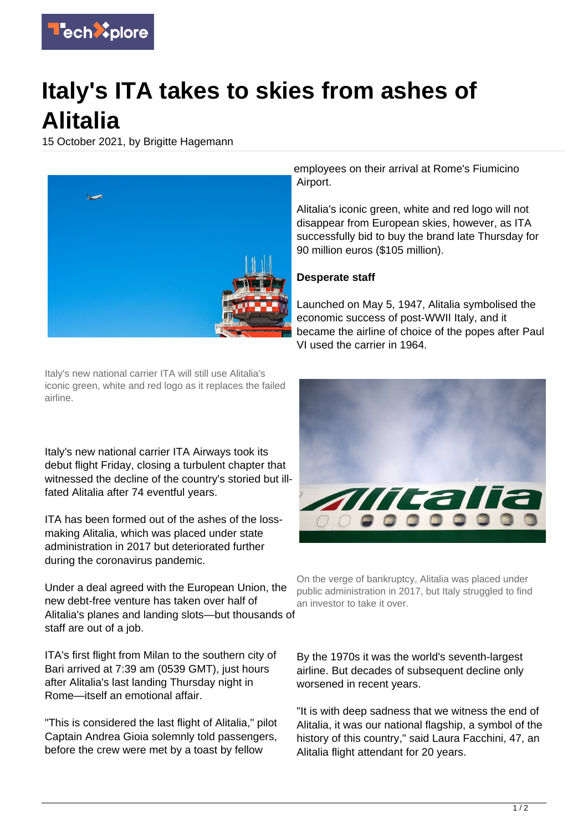

## **Italy's ITA takes to skies from ashes of Alitalia**

15 October 2021, by Brigitte Hagemann



Italy's new national carrier ITA will still use Alitalia's iconic green, white and red logo as it replaces the failed airline.

Italy's new national carrier ITA Airways took its debut flight Friday, closing a turbulent chapter that witnessed the decline of the country's storied but illfated Alitalia after 74 eventful years.

ITA has been formed out of the ashes of the lossmaking Alitalia, which was placed under state administration in 2017 but deteriorated further during the coronavirus pandemic.

Under a deal agreed with the European Union, the new debt-free venture has taken over half of Alitalia's planes and landing slots—but thousands of staff are out of a job.

ITA's first flight from Milan to the southern city of Bari arrived at 7:39 am (0539 GMT), just hours after Alitalia's last landing Thursday night in Rome—itself an emotional affair.

"This is considered the last flight of Alitalia," pilot Captain Andrea Gioia solemnly told passengers, before the crew were met by a toast by fellow

employees on their arrival at Rome's Fiumicino Airport.

Alitalia's iconic green, white and red logo will not disappear from European skies, however, as ITA successfully bid to buy the brand late Thursday for 90 million euros (\$105 million).

## **Desperate staff**

Launched on May 5, 1947, Alitalia symbolised the economic success of post-WWII Italy, and it became the airline of choice of the popes after Paul VI used the carrier in 1964.



On the verge of bankruptcy, Alitalia was placed under public administration in 2017, but Italy struggled to find an investor to take it over.

By the 1970s it was the world's seventh-largest airline. But decades of subsequent decline only worsened in recent years.

"It is with deep sadness that we witness the end of Alitalia, it was our national flagship, a symbol of the history of this country," said Laura Facchini, 47, an Alitalia flight attendant for 20 years.